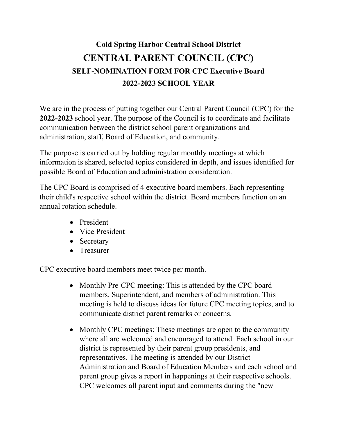## **Cold Spring Harbor Central School District CENTRAL PARENT COUNCIL (CPC) SELF-NOMINATION FORM FOR CPC Executive Board 2022-2023 SCHOOL YEAR**

We are in the process of putting together our Central Parent Council (CPC) for the **2022-2023** school year. The purpose of the Council is to coordinate and facilitate communication between the district school parent organizations and administration, staff, Board of Education, and community.

The purpose is carried out by holding regular monthly meetings at which information is shared, selected topics considered in depth, and issues identified for possible Board of Education and administration consideration.

The CPC Board is comprised of 4 executive board members. Each representing their child's respective school within the district. Board members function on an annual rotation schedule.

- President
- Vice President
- Secretary
- Treasurer

CPC executive board members meet twice per month.

- Monthly Pre-CPC meeting: This is attended by the CPC board members, Superintendent, and members of administration. This meeting is held to discuss ideas for future CPC meeting topics, and to communicate district parent remarks or concerns.
- Monthly CPC meetings: These meetings are open to the community where all are welcomed and encouraged to attend. Each school in our district is represented by their parent group presidents, and representatives. The meeting is attended by our District Administration and Board of Education Members and each school and parent group gives a report in happenings at their respective schools. CPC welcomes all parent input and comments during the "new